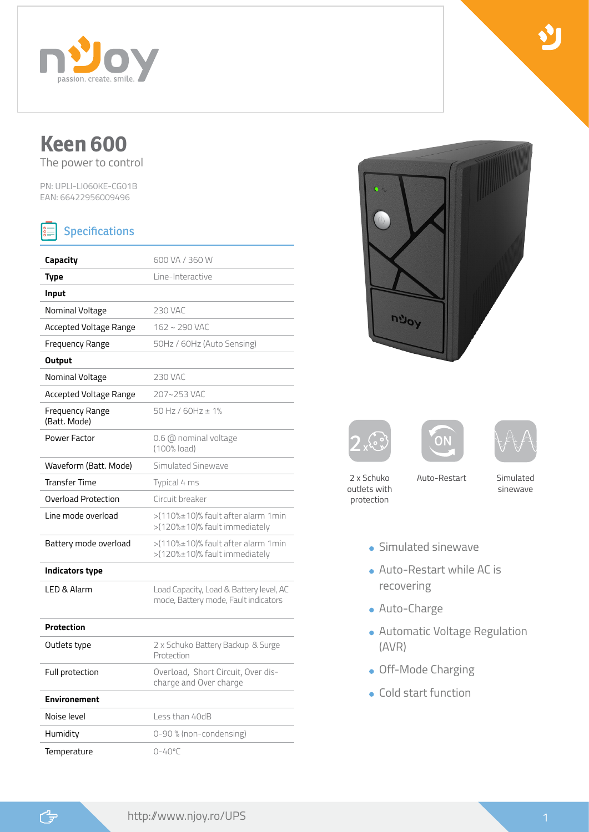

# **Keen 600**

The power to control

PN: UPLI-LI060KE-CG01B EAN: 66422956009496

#### **Specifications**  $|\mathbf{\hat{s}}|$

| Capacity                        | 600 VA / 360 W                                                                  |
|---------------------------------|---------------------------------------------------------------------------------|
| <b>Type</b>                     | Line-Interactive                                                                |
| Input                           |                                                                                 |
| Nominal Voltage                 | <b>230 VAC</b>                                                                  |
| Accepted Voltage Range          | 162~290 VAC                                                                     |
| Frequency Range                 | 50Hz / 60Hz (Auto Sensing)                                                      |
| Output                          |                                                                                 |
| Nominal Voltage                 | <b>230 VAC</b>                                                                  |
| Accepted Voltage Range          | 207~253 VAC                                                                     |
| Frequency Range<br>(Batt. Mode) | 50 Hz / $60$ Hz $\pm$ 1%                                                        |
| Power Factor                    | 0.6 @ nominal voltage<br>(100% load)                                            |
| Waveform (Batt. Mode)           | Simulated Sinewave                                                              |
| <b>Transfer Time</b>            | Typical 4 ms                                                                    |
| Overload Protection             | Circuit breaker                                                                 |
| Line mode overload              | >(110%±10)% fault after alarm 1min<br>>(120%±10)% fault immediately             |
| Battery mode overload           | >(110%±10)% fault after alarm 1min<br>>(120%±10)% fault immediately             |
| Indicators type                 |                                                                                 |
| LED & Alarm                     | Load Capacity, Load & Battery level, AC<br>mode, Battery mode, Fault indicators |
| <b>Protection</b>               |                                                                                 |
| Outlets type                    | 2 x Schuko Battery Backup & Surge<br>Protection                                 |
| Full protection                 | Overload, Short Circuit, Over dis-<br>charge and Over charge                    |
| <b>Environement</b>             |                                                                                 |
| Noise level                     | Less than 40dB                                                                  |
| Humidity                        | 0-90 % (non-condensing)                                                         |
| Temperature                     | $0 - 40^{\circ}$ C                                                              |









- 2 x Schuko outlets with protection
- Auto-Restart Simulated
	- sinewave
- **Simulated sinewave**
- Auto-Restart while AC is recovering
- Auto-Charge
- Automatic Voltage Regulation (AVR)
- **.** Off-Mode Charging
- Cold start function